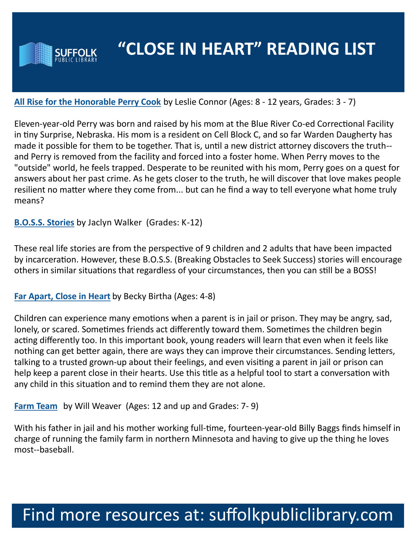

### **[All Rise for the Honorable Perry Cook](https://suffolk.polarislibrary.com/polaris/search/searchresults.aspx?ctx=8.1033.0.0.1&type=Keyword&term=All%20Rise%20for%20the%20Honorable%20Perry%20Cook%20Leslie%20Connor&by=KW&sort=RELEVANCE&limit=Tom=*&query=&page=0&searchid=17)** by Leslie Connor (Ages: 8 - 12 years, Grades: 3 - 7)

Eleven-year-old Perry was born and raised by his mom at the Blue River Co-ed Correctional Facility in tiny Surprise, Nebraska. His mom is a resident on Cell Block C, and so far Warden Daugherty has made it possible for them to be together. That is, until a new district attorney discovers the truth- and Perry is removed from the facility and forced into a foster home. When Perry moves to the "outside" world, he feels trapped. Desperate to be reunited with his mom, Perry goes on a quest for answers about her past crime. As he gets closer to the truth, he will discover that love makes people resilient no matter where they come from... but can he find a way to tell everyone what home truly means?

#### **[B.O.S.S. Stories](https://suffolk.polarislibrary.com/polaris/search/searchresults.aspx?ctx=1.1033.0.0.1&type=Keyword&term=boss%20stories%20jaclyn&by=KW&sort=RELEVANCE&limit=TOM=*&query=&page=0&searchid=3)** by Jaclyn Walker (Grades: K-12)

These real life stories are from the perspective of 9 children and 2 adults that have been impacted by incarceration. However, these B.O.S.S. (Breaking Obstacles to Seek Success) stories will encourage others in similar situations that regardless of your circumstances, then you can still be a BOSS!

#### **[Far Apart, Close in Heart](https://suffolk.polarislibrary.com/polaris/search/searchresults.aspx?ctx=8.1033.0.0.1&type=Keyword&term=Far%20Apart,%20Close%20in%20Heart%20Becky%20Birtha&by=KW&sort=RELEVANCE&limit=Tom=*&query=&page=0&searchid=16)** by Becky Birtha (Ages: 4-8)

Children can experience many emotions when a parent is in jail or prison. They may be angry, sad, lonely, or scared. Sometimes friends act differently toward them. Sometimes the children begin acting differently too. In this important book, young readers will learn that even when it feels like nothing can get better again, there are ways they can improve their circumstances. Sending letters, talking to a trusted grown-up about their feelings, and even visiting a parent in jail or prison can help keep a parent close in their hearts. Use this title as a helpful tool to start a conversation with any child in this situation and to remind them they are not alone.

**[Farm Team](https://suffolk.polarislibrary.com/polaris/search/searchresults.aspx?ctx=8.1033.0.0.1&type=Keyword&term=Farm%20Team%20Will%20Weaver&by=KW&sort=RELEVANCE&limit=Tom=*&query=&page=0&searchid=15)** by Will Weaver (Ages: 12 and up and Grades: 7- 9)

With his father in jail and his mother working full-time, fourteen-year-old Billy Baggs finds himself in charge of running the family farm in northern Minnesota and having to give up the thing he loves most--baseball.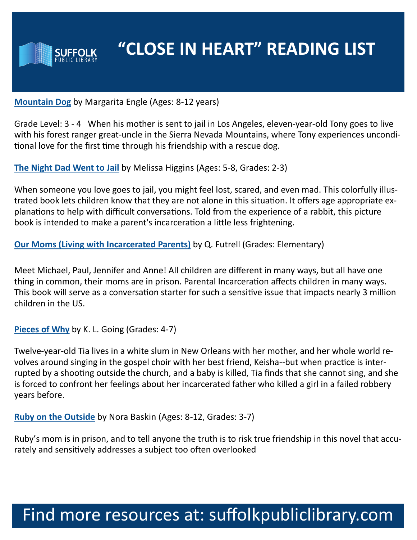

**[Mountain Dog](https://suffolk.polarislibrary.com/polaris/search/searchresults.aspx?ctx=8.1033.0.0.1&type=Keyword&term=Mountain%20Dog%20Margarita%20Engle&by=KW&sort=RELEVANCE&limit=Tom=*&query=&page=0&searchid=14)** by Margarita Engle (Ages: 8-12 years)

Grade Level: 3 - 4 When his mother is sent to jail in Los Angeles, eleven-year-old Tony goes to live with his forest ranger great-uncle in the Sierra Nevada Mountains, where Tony experiences unconditional love for the first time through his friendship with a rescue dog.

**[The Night Dad Went to Jail](https://suffolk.polarislibrary.com/polaris/search/searchresults.aspx?ctx=8.1033.0.0.1&type=Keyword&term=The%20Night%20Dad%20Went%20to%20Jail%20Melissa%20Higgins&by=KW&sort=RELEVANCE&limit=Tom=*&query=&page=0&searchid=13)** by Melissa Higgins (Ages: 5-8, Grades: 2-3)

When someone you love goes to jail, you might feel lost, scared, and even mad. This colorfully illustrated book lets children know that they are not alone in this situation. It offers age appropriate explanations to help with difficult conversations. Told from the experience of a rabbit, this picture book is intended to make a parent's incarceration a little less frightening.

**[Our Moms \(Living with Incarcerated Parents\)](http://www.qunianafutrell.com/quniana-writes)** by Q. Futrell (Grades: Elementary)

Meet Michael, Paul, Jennifer and Anne! All children are different in many ways, but all have one thing in common, their moms are in prison. Parental Incarceration affects children in many ways. This book will serve as a conversation starter for such a sensitive issue that impacts nearly 3 million children in the US.

**[Pieces of Why](https://suffolk.polarislibrary.com/polaris/search/searchresults.aspx?ctx=8.1033.0.0.1&type=Keyword&term=Pieces%20of%20Why%20K.%20L.%20Going&by=KW&sort=RELEVANCE&limit=Tom=*&query=&page=0&searchid=12)** by K. L. Going (Grades: 4-7)

Twelve-year-old Tia lives in a white slum in New Orleans with her mother, and her whole world revolves around singing in the gospel choir with her best friend, Keisha--but when practice is interrupted by a shooting outside the church, and a baby is killed, Tia finds that she cannot sing, and she is forced to confront her feelings about her incarcerated father who killed a girl in a failed robbery years before.

**[Ruby on the Outside](https://suffolk.polarislibrary.com/polaris/search/searchresults.aspx?ctx=8.1033.0.0.1&type=Keyword&term=Ruby%20on%20the%20Outside%20Nora%20Baskin&by=KW&sort=RELEVANCE&limit=Tom=*&query=&page=0&searchid=11)** by Nora Baskin (Ages: 8-12, Grades: 3-7)

Ruby's mom is in prison, and to tell anyone the truth is to risk true friendship in this novel that accurately and sensitively addresses a subject too often overlooked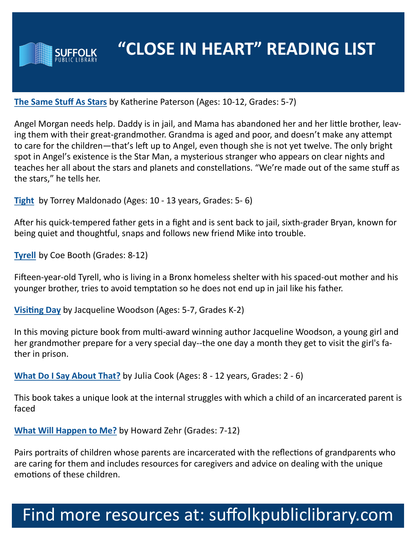

#### **[The Same Stuff As Stars](https://suffolk.polarislibrary.com/polaris/search/searchresults.aspx?ctx=8.1033.0.0.1&type=Keyword&term=The%20Same%20Stuff%20As%20Stars%20Katherine%20Paterson&by=KW&sort=RELEVANCE&limit=Tom=*&query=&page=0&searchid=10)** by Katherine Paterson (Ages: 10-12, Grades: 5-7)

Angel Morgan needs help. Daddy is in jail, and Mama has abandoned her and her little brother, leaving them with their great-grandmother. Grandma is aged and poor, and doesn't make any attempt to care for the children—that's left up to Angel, even though she is not yet twelve. The only bright spot in Angel's existence is the Star Man, a mysterious stranger who appears on clear nights and teaches her all about the stars and planets and constellations. "We're made out of the same stuff as the stars," he tells her.

**[Tight](https://suffolk.polarislibrary.com/polaris/search/searchresults.aspx?ctx=8.1033.0.0.1&type=Keyword&term=Tight%20Torrey%20Maldonado&by=KW&sort=RELEVANCE&limit=Tom=*&query=&page=0&searchid=9)** by Torrey Maldonado (Ages: 10 - 13 years, Grades: 5- 6)

After his quick-tempered father gets in a fight and is sent back to jail, sixth-grader Bryan, known for being quiet and thoughtful, snaps and follows new friend Mike into trouble.

**[Tyrell](https://suffolk.polarislibrary.com/polaris/search/searchresults.aspx?ctx=8.1033.0.0.1&type=Keyword&term=Tyrell%20Coe%20Booth&by=KW&sort=RELEVANCE&limit=Tom=*&query=&page=0&searchid=2)** by Coe Booth (Grades: 8-12)

Fifteen-year-old Tyrell, who is living in a Bronx homeless shelter with his spaced-out mother and his younger brother, tries to avoid temptation so he does not end up in jail like his father.

**[Visiting Day](https://suffolk.polarislibrary.com/polaris/search/searchresults.aspx?ctx=8.1033.0.0.1&type=Keyword&term=Visiting%20Day%20Jacqueline%20Woodson&by=KW&sort=RELEVANCE&limit=Tom=*&query=&page=0&searchid=3)** by Jacqueline Woodson (Ages: 5-7, Grades K-2)

In this moving picture book from multi-award winning author Jacqueline Woodson, a young girl and her grandmother prepare for a very special day--the one day a month they get to visit the girl's father in prison.

**[What Do I Say About That?](https://suffolk.polarislibrary.com/polaris/search/searchresults.aspx?ctx=8.1033.0.0.1&type=Keyword&term=What%20Do%20I%20Say%20About%20That?%20Julia%20Cook&by=KW&sort=RELEVANCE&limit=Tom=*&query=&page=0&searchid=4)** by Julia Cook (Ages: 8 - 12 years, Grades: 2 - 6)

This book takes a unique look at the internal struggles with which a child of an incarcerated parent is faced

**[What Will Happen to Me?](https://suffolk.polarislibrary.com/polaris/search/searchresults.aspx?ctx=8.1033.0.0.1&type=Keyword&term=What%20Will%20Happen%20to%20Me?%20by%20Howard%20Zehr&by=KW&sort=RELEVANCE&limit=Tom=*&query=&page=0&searchid=5)** by Howard Zehr (Grades: 7-12)

Pairs portraits of children whose parents are incarcerated with the reflections of grandparents who are caring for them and includes resources for caregivers and advice on dealing with the unique emotions of these children.